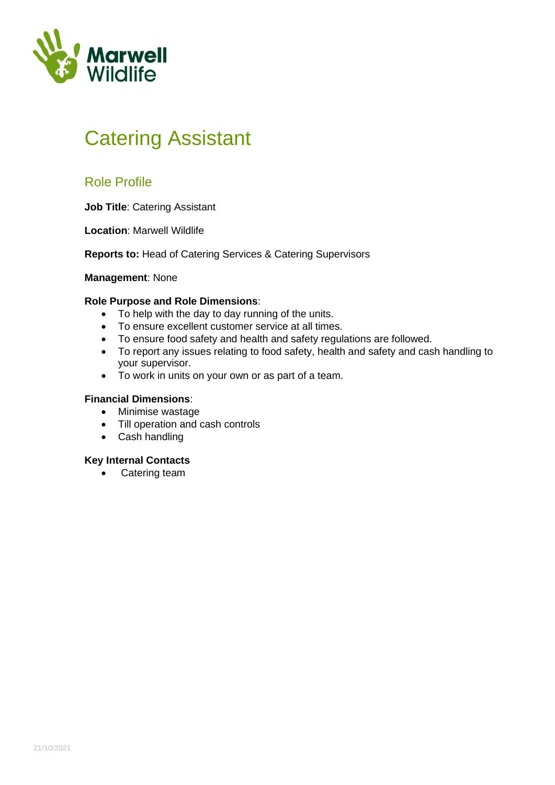

# Catering Assistant

### Role Profile

**Job Title**: Catering Assistant

**Location**: Marwell Wildlife

**Reports to:** Head of Catering Services & Catering Supervisors

**Management**: None

### **Role Purpose and Role Dimensions**:

- To help with the day to day running of the units.
- To ensure excellent customer service at all times.
- To ensure food safety and health and safety regulations are followed.
- To report any issues relating to food safety, health and safety and cash handling to your supervisor.
- To work in units on your own or as part of a team.

### **Financial Dimensions**:

- Minimise wastage
- Till operation and cash controls
- Cash handling

#### **Key Internal Contacts**

• Catering team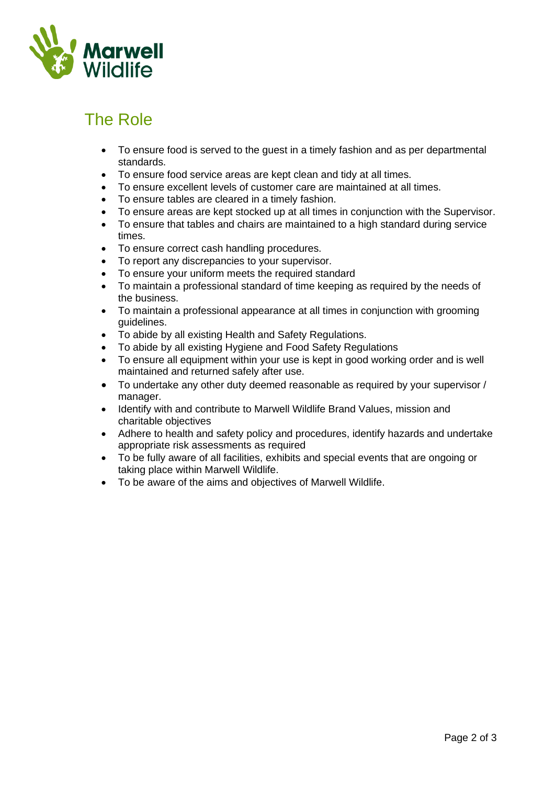

## The Role

- To ensure food is served to the guest in a timely fashion and as per departmental standards.
- To ensure food service areas are kept clean and tidy at all times.
- To ensure excellent levels of customer care are maintained at all times.
- To ensure tables are cleared in a timely fashion.
- To ensure areas are kept stocked up at all times in conjunction with the Supervisor.
- To ensure that tables and chairs are maintained to a high standard during service times.
- To ensure correct cash handling procedures.
- To report any discrepancies to your supervisor.
- To ensure your uniform meets the required standard
- To maintain a professional standard of time keeping as required by the needs of the business.
- To maintain a professional appearance at all times in conjunction with grooming guidelines.
- To abide by all existing Health and Safety Regulations.
- To abide by all existing Hygiene and Food Safety Regulations
- To ensure all equipment within your use is kept in good working order and is well maintained and returned safely after use.
- To undertake any other duty deemed reasonable as required by your supervisor / manager.
- Identify with and contribute to Marwell Wildlife Brand Values, mission and charitable objectives
- Adhere to health and safety policy and procedures, identify hazards and undertake appropriate risk assessments as required
- To be fully aware of all facilities, exhibits and special events that are ongoing or taking place within Marwell Wildlife.
- To be aware of the aims and objectives of Marwell Wildlife.